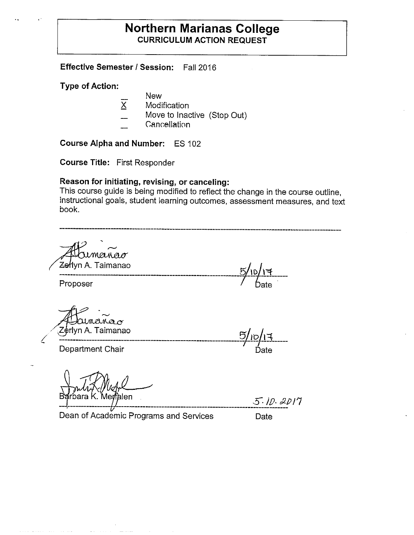## **Northern Marianas College CURRICULUM ACTION REQUEST**

**Effective Semester I Session:** Fall 2016

**Type of Action:** 

- New
- **Modification**
- Move to Inactive (Stop Out)
- Cancellation

**Course Alpha and Number:** ES 102

**Course Title:** First Responder

## **Reason for initiating, revising, or canceling:**

This course guide is being modified to reflect the change in the course outline, instructional goals, student learning outcomes, assessment measures, and text book.

manao Proposer 7-·~ *Ze*łlyn A. Taimanao<br>---------------------------<br>Proposer *A' Jour*lana<br>Zerlyn A. Taimanao Department Chair **Department Chair** 

Merfalen bara K

 $5.10.2017$ 

Dean of Academic Programs and Services Date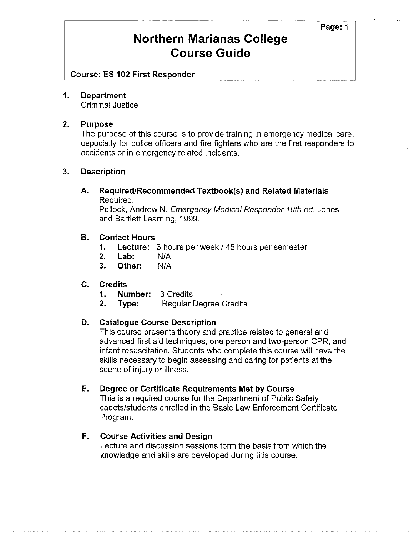**Page:** 1

## **Northern Marianas College Course Guide**

**Course: ES 102 First Responder** 

#### **1. Department**

Criminal Justice

### **2. Purpose**

The purpose of this course is to provide training in emergency medical care, especially for police officers and fire fighters who are the first responders to accidents or in emergency related incidents.

### **3. Description**

**A. Required/Recommended Textbook(s) and Related Materials**  Required:

Pollock, Andrew N. Emergency Medical Responder 10th ed. Jones and Bartlett Learning, 1999.

### **B. Contact Hours**

- **1.** Lecture: 3 hours per week / 45 hours per semester
- **2. Lab:** NIA
- **3. Other:** NIA

## **C. Credits**

- **1. Number:** 3 Credits
- **2. Type:** Regular Degree Credits

## **D. Catalogue Course Description**

This course presents theory and practice related to general and advanced first aid techniques, one person and two-person CPR, and infant resuscitation. Students who complete this course will have the skills necessary to begin assessing and caring for patients at the scene of injury or illness.

### **E. Degree or Certificate Requirements Met by Course**

This is a required course for the Department of Public Safety cadets/students enrolled in the Basic Law Enforcement Certificate Program.

### **F. Course Activities and Design**

Lecture and discussion sessions form the basis from which the knowledge and skills are developed during this course.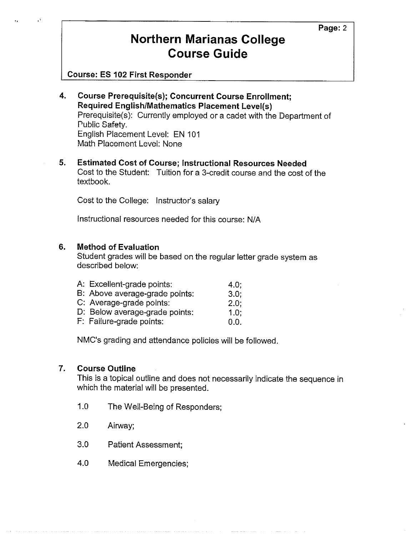# **Northern Marianas College Course Guide**

**Course: ES 102 First Responder** 

- **4. Course Prerequisite{s); Concurrent Course Enrollment; Required English/Mathematics Placement Level{s)**  Prerequisite(s): Currently employed or a cadet with the Department of Public Safety. English Placement Level: EN 101 Math Placement Level: None
- **5. Estimated Cost of Course; Instructional Resources Needed**  Cost to the Student: Tuition for a 3-credit course and the cost of the textbook.

Cost to the College: Instructor's salary

Instructional resources needed for this course: N/A

### **6. Method of Evaluation**

Student grades will be based on the regular letter grade system as described below:

| A: Excellent-grade points:     | 4.0:    |
|--------------------------------|---------|
| B: Above average-grade points: | 3.0:    |
| C: Average-grade points:       | $2.0$ ; |
| D: Below average-grade points: | 1.0:    |
| F: Failure-grade points:       | 0.0.    |

NMC's grading and attendance policies will be followed.

## **7. Course Outline**

This is a topical outline and does not necessarily indicate the sequence in which the material will be presented.

- 1.0 The Well-Being of Responders;
- 2.0 Airway;
- 3.0 Patient Assessment;
- 4.0 Medical Emergencies;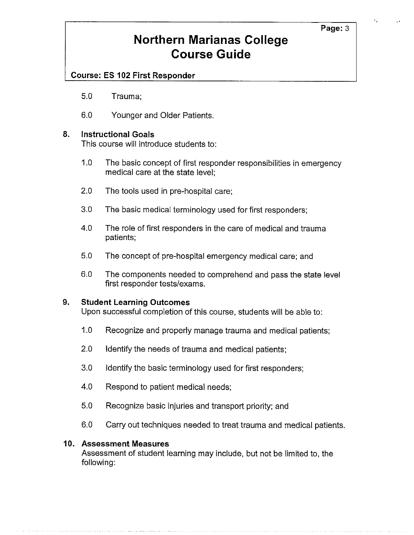**Page:3** 

# **Northern Marianas College Course Guide**

## **Course: ES 102 First Responder**

- 5.0 Trauma;
- 6.0 Younger and Older Patients.

## **8. Instructional Goals**

This course will introduce students to:

- 1.0 The basic concept of first responder responsibilities in emergency medical care at the state level;
- 2.0 The tools used in pre-hospital care;
- 3.0 The basic medical terminology used for first responders;
- 4.0 The role of first responders in the care of medical and trauma patients;
- 5.0 The concept of pre-hospital emergency medical care; and
- 6.0 The components needed to comprehend and pass the state level first responder tests/exams.

### **9. Student Learning Outcomes**

Upon successful completion of this course, students will be able to:

- 1.0 Recognize and properly manage trauma and medical patients;
- 2.0 Identify the needs of trauma and medical patients;
- 3.0 Identify the basic terminology used for first responders;
- 4.0 Respond to patient medical needs;
- 5.0 Recognize basic injuries and transport priority; and
- 6.0 Carry out techniques needed to treat trauma and medical patients.

### **10. Assessment Measures**

Assessment of student learning may include, but not be limited to, the following: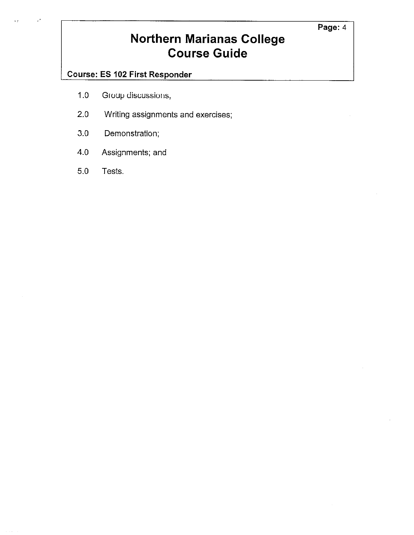# **Northern Marianas College Course Guide**

## **Course: ES 102 First Responder**

- 1.0 Group discussions,
- 2.0 Writing assignments and exercises;
- 3.0 Demonstration;
- 4.0 Assignments; and
- 5.0 Tests.